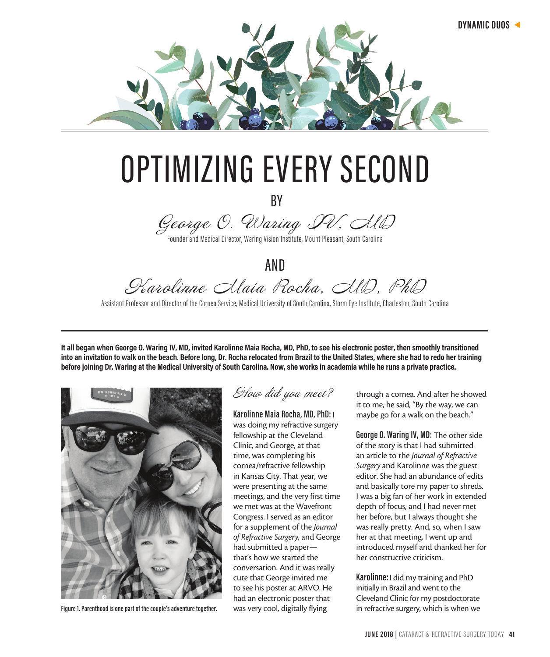

## OPTIMIZING EVERY SECOND

BY

George O. Waring PV, AlD

Founder and Medical Director, Waring Vision Institute, Mount Pleasant, South Carolina

AND Karolinne Maia Rocha, MD, PhD

Assistant Professor and Director of the Cornea Service, Medical University of South Carolina, Storm Eye Institute, Charleston, South Carolina

**It all began when George O. Waring IV, MD, invited Karolinne Maia Rocha, MD, PhD, to see his electronic poster, then smoothly transitioned into an invitation to walk on the beach. Before long, Dr. Rocha relocated from Brazil to the United States, where she had to redo her training before joining Dr. Waring at the Medical University of South Carolina. Now, she works in academia while he runs a private practice.** 



**Figure 1. Parenthood is one part of the couple's adventure together.** 

How did you meet?

**Karolinne Maia Rocha, MD, PhD:** I was doing my refractive surgery fellowship at the Cleveland Clinic, and George, at that time, was completing his cornea/refractive fellowship in Kansas City. That year, we were presenting at the same meetings, and the very first time we met was at the Wavefront Congress. I served as an editor for a supplement of the *Journal of Refractive Surgery*, and George had submitted a paper that's how we started the conversation. And it was really cute that George invited me to see his poster at ARVO. He had an electronic poster that was very cool, digitally flying

through a cornea. And after he showed it to me, he said, "By the way, we can maybe go for a walk on the beach."

**George O. Waring IV, MD:** The other side of the story is that I had submitted an article to the *Journal of Refractive Surgery* and Karolinne was the guest editor. She had an abundance of edits and basically tore my paper to shreds. I was a big fan of her work in extended depth of focus, and I had never met her before, but I always thought she was really pretty. And, so, when I saw her at that meeting, I went up and introduced myself and thanked her for her constructive criticism.

**Karolinne:** I did my training and PhD initially in Brazil and went to the Cleveland Clinic for my postdoctorate in refractive surgery, which is when we